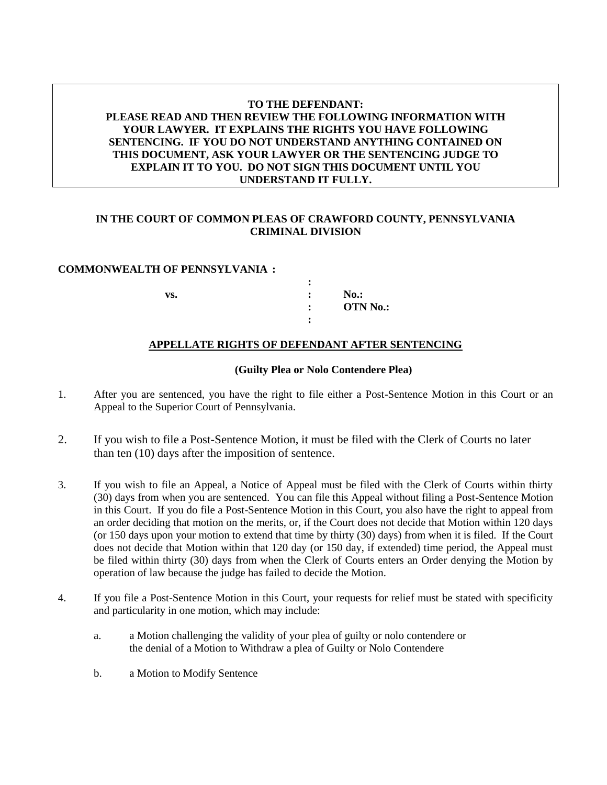# **TO THE DEFENDANT: PLEASE READ AND THEN REVIEW THE FOLLOWING INFORMATION WITH YOUR LAWYER. IT EXPLAINS THE RIGHTS YOU HAVE FOLLOWING SENTENCING. IF YOU DO NOT UNDERSTAND ANYTHING CONTAINED ON THIS DOCUMENT, ASK YOUR LAWYER OR THE SENTENCING JUDGE TO EXPLAIN IT TO YOU. DO NOT SIGN THIS DOCUMENT UNTIL YOU UNDERSTAND IT FULLY.**

## **IN THE COURT OF COMMON PLEAS OF CRAWFORD COUNTY, PENNSYLVANIA CRIMINAL DIVISION**

#### **COMMONWEALTH OF PENNSYLVANIA :**

|     | ٠              |                 |
|-----|----------------|-----------------|
| VS. | ٠              | $No.$ :         |
|     | $\bullet$<br>٠ | <b>OTN No.:</b> |
|     |                |                 |

### **APPELLATE RIGHTS OF DEFENDANT AFTER SENTENCING**

#### **(Guilty Plea or Nolo Contendere Plea)**

- 1. After you are sentenced, you have the right to file either a Post-Sentence Motion in this Court or an Appeal to the Superior Court of Pennsylvania.
- 2. If you wish to file a Post-Sentence Motion, it must be filed with the Clerk of Courts no later than ten (10) days after the imposition of sentence.
- 3. If you wish to file an Appeal, a Notice of Appeal must be filed with the Clerk of Courts within thirty (30) days from when you are sentenced. You can file this Appeal without filing a Post-Sentence Motion in this Court. If you do file a Post-Sentence Motion in this Court, you also have the right to appeal from an order deciding that motion on the merits, or, if the Court does not decide that Motion within 120 days (or 150 days upon your motion to extend that time by thirty (30) days) from when it is filed. If the Court does not decide that Motion within that 120 day (or 150 day, if extended) time period, the Appeal must be filed within thirty (30) days from when the Clerk of Courts enters an Order denying the Motion by operation of law because the judge has failed to decide the Motion.
- 4. If you file a Post-Sentence Motion in this Court, your requests for relief must be stated with specificity and particularity in one motion, which may include:
	- a. a Motion challenging the validity of your plea of guilty or nolo contendere or the denial of a Motion to Withdraw a plea of Guilty or Nolo Contendere
	- b. a Motion to Modify Sentence